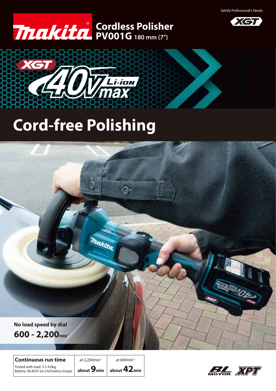Satisfy Professional's Needs







 $\odot$ 

# **Cord-free Polishing**



Tested with load: 3.5-4.0kg Battery: BL4025 (on a full battery charge) **Continuous run time**

at 2.200 $\text{min}^{-1}$  at 600 $\text{min}^{-1}$ 

**Thaklta** 

**about 9min about 42min**